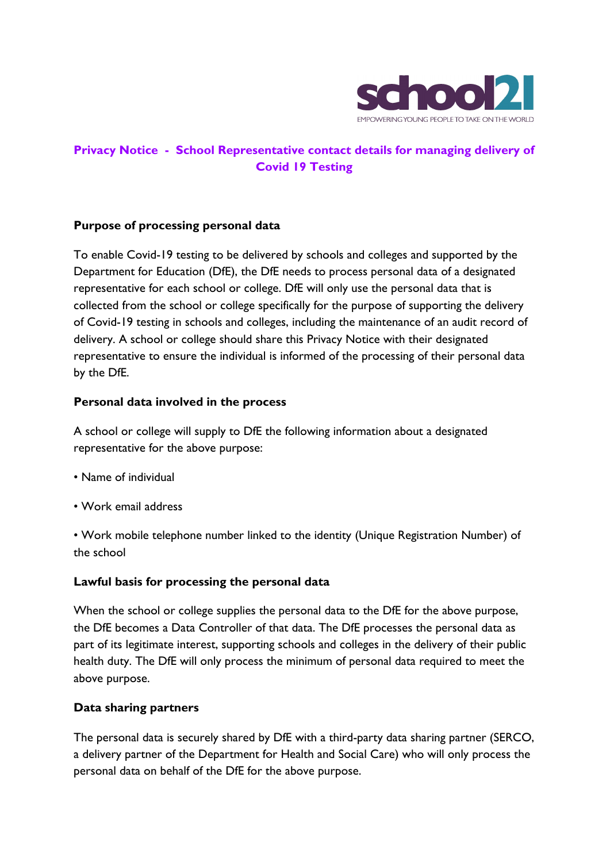

# **Privacy Notice - School Representative contact details for managing delivery of Covid 19 Testing**

### **Purpose of processing personal data**

To enable Covid-19 testing to be delivered by schools and colleges and supported by the Department for Education (DfE), the DfE needs to process personal data of a designated representative for each school or college. DfE will only use the personal data that is collected from the school or college specifically for the purpose of supporting the delivery of Covid-19 testing in schools and colleges, including the maintenance of an audit record of delivery. A school or college should share this Privacy Notice with their designated representative to ensure the individual is informed of the processing of their personal data by the DfE.

#### **Personal data involved in the process**

A school or college will supply to DfE the following information about a designated representative for the above purpose:

- Name of individual
- Work email address

• Work mobile telephone number linked to the identity (Unique Registration Number) of the school

### **Lawful basis for processing the personal data**

When the school or college supplies the personal data to the DfE for the above purpose, the DfE becomes a Data Controller of that data. The DfE processes the personal data as part of its legitimate interest, supporting schools and colleges in the delivery of their public health duty. The DfE will only process the minimum of personal data required to meet the above purpose.

### **Data sharing partners**

The personal data is securely shared by DfE with a third-party data sharing partner (SERCO, a delivery partner of the Department for Health and Social Care) who will only process the personal data on behalf of the DfE for the above purpose.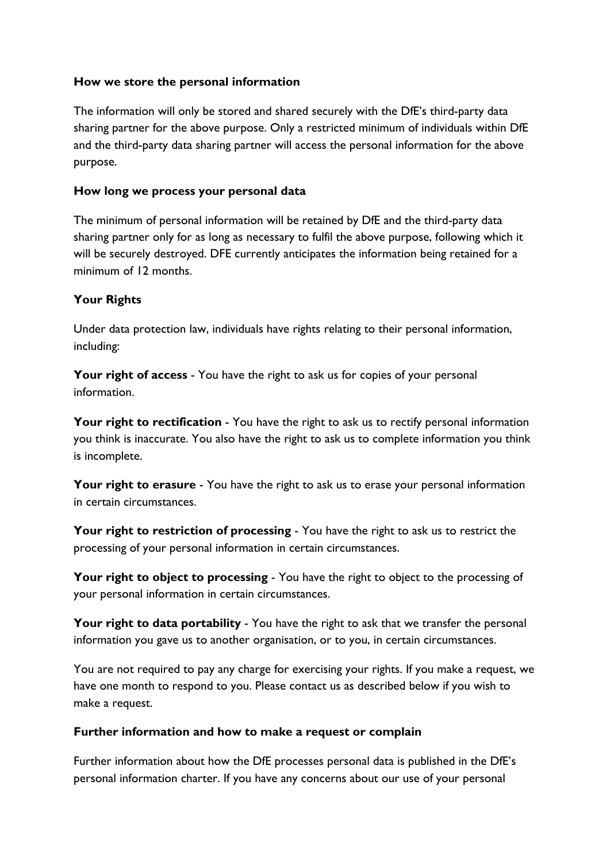### **How we store the personal information**

The information will only be stored and shared securely with the DfE's third-party data sharing partner for the above purpose. Only a restricted minimum of individuals within DfE and the third-party data sharing partner will access the personal information for the above purpose.

### **How long we process your personal data**

The minimum of personal information will be retained by DfE and the third-party data sharing partner only for as long as necessary to fulfil the above purpose, following which it will be securely destroyed. DFE currently anticipates the information being retained for a minimum of 12 months.

## **Your Rights**

Under data protection law, individuals have rights relating to their personal information, including:

Your right of access - You have the right to ask us for copies of your personal information.

**Your right to rectification** - You have the right to ask us to rectify personal information you think is inaccurate. You also have the right to ask us to complete information you think is incomplete.

Your right to erasure - You have the right to ask us to erase your personal information in certain circumstances.

**Your right to restriction of processing** - You have the right to ask us to restrict the processing of your personal information in certain circumstances.

**Your right to object to processing** - You have the right to object to the processing of your personal information in certain circumstances.

**Your right to data portability** - You have the right to ask that we transfer the personal information you gave us to another organisation, or to you, in certain circumstances.

You are not required to pay any charge for exercising your rights. If you make a request, we have one month to respond to you. Please contact us as described below if you wish to make a request.

## **Further information and how to make a request or complain**

Further information about how the DfE processes personal data is published in the DfE's personal information charter. If you have any concerns about our use of your personal